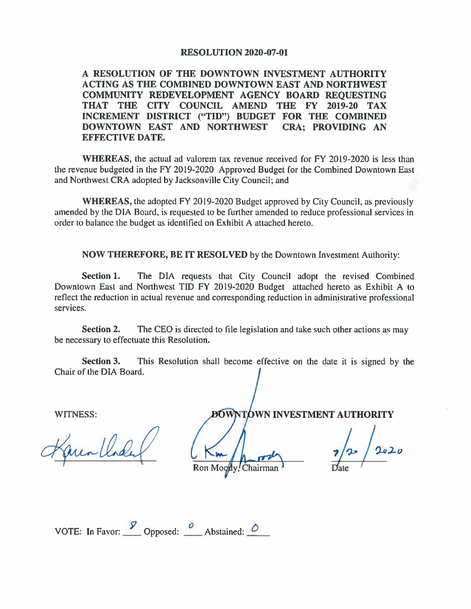## **RESOLUTION 2020-07-01**

**A RESOLUTION OF THE DOWNTOWN INVESTMENT AUTHORITY ACTING AS THE COMBINED DOWNTOWN EAST AND NORTHWEST COMMUNITY REDEVELOPMENT AGENCY BOARD REQUESTING THAT THE CITY COUNCIL AMEND THE FY 2019-20 TAX INCREMENT DISTRICT ("TID") BUDGET FOR THE COMBINED DOWNTOWN EAST AND NORTHWEST CRA; PROVIDING AN EFFECTIVE DATE.** 

**WHEREAS,** the actual ad valorem tax revenue received for FY 2019-2020 is less than the revenue budgeted in the FY 2019-2020 Approved Budget for the Combined Downtown East and Northwest CRA adopted by Jacksonville City Council; and

**WHEREAS,** the adopted FY 2019-2020 Budget approved by City Council, as previously amended by the DIA Board, is requested to be further amended to reduce professional services in order to balance the budget as identified on Exhibit A attached hereto.

**NOW THEREFORE, BE IT RESOLVED** by the Downtown Investment Authority:

**Section 1.** The DIA requests that City Council adopt the revised Combined Downtown East and Northwest TID FY 2019-2020 Budget attached hereto as Exhibit A to reflect the reduction in actual revenue and corresponding reduction in administrative professional services.

**Section 2.** The CEO is directed to file legislation and take such other actions as may be necessary to effectuate this Resolution.

**Section 3.** This Resolution shall become effective on the date it is signed by the Chair of the DIA Board.

WITNESS:

NTOWN INVESTMENT AUTHORITY

Ron Moot Chairman

VOTE: In Favor:  $\frac{y}{z}$  Opposed:  $\frac{\partial}{\partial z}$  Abstained:  $\frac{\partial}{\partial z}$